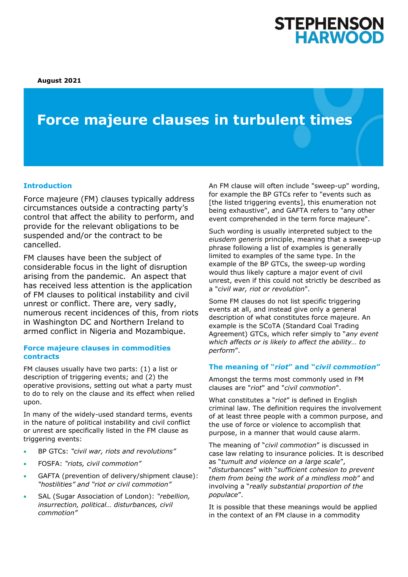**August 2021**

# **Force majeure clauses in turbulent times**

#### **Introduction**

Force majeure (FM) clauses typically address circumstances outside a contracting party's control that affect the ability to perform, and provide for the relevant obligations to be suspended and/or the contract to be cancelled.

FM clauses have been the subject of considerable focus in the light of disruption arising from the pandemic. An aspect that has received less attention is the application of FM clauses to political instability and civil unrest or conflict. There are, very sadly, numerous recent incidences of this, from riots in Washington DC and Northern Ireland to armed conflict in Nigeria and Mozambique.

#### **Force majeure clauses in commodities contracts**

FM clauses usually have two parts: (1) a list or description of triggering events; and (2) the operative provisions, setting out what a party must to do to rely on the clause and its effect when relied upon.

In many of the widely-used standard terms, events in the nature of political instability and civil conflict or unrest are specifically listed in the FM clause as triggering events:

- BP GTCs: *"civil war, riots and revolutions"*
- FOSFA: *"riots, civil commotion"*
- GAFTA (prevention of delivery/shipment clause): *"hostilities" and "riot or civil commotion"*
- SAL (Sugar Association of London): *"rebellion, insurrection, political… disturbances, civil commotion"*

An FM clause will often include "sweep-up" wording, for example the BP GTCs refer to "events such as [the listed triggering events], this enumeration not being exhaustive", and GAFTA refers to "any other event comprehended in the term force majeure".

Such wording is usually interpreted subject to the *eiusdem generis* principle, meaning that a sweep-up phrase following a list of examples is generally limited to examples of the same type. In the example of the BP GTCs, the sweep-up wording would thus likely capture a major event of civil unrest, even if this could not strictly be described as a "*civil war, riot or revolution*".

Some FM clauses do not list specific triggering events at all, and instead give only a general description of what constitutes force majeure. An example is the SCoTA (Standard Coal Trading Agreement) GTCs, which refer simply to "*any event which affects or is likely to affect the ability… to perform*".

#### **The meaning of "***riot***" and "***civil commotion***"**

Amongst the terms most commonly used in FM clauses are "*riot*" and "*civil commotion*".

What constitutes a "*riot*" is defined in English criminal law. The definition requires the involvement of at least three people with a common purpose, and the use of force or violence to accomplish that purpose, in a manner that would cause alarm.

The meaning of "*civil commotion*" is discussed in case law relating to insurance policies. It is described as "*tumult and violence on a large scale*", "*disturbances*" with "*sufficient cohesion to prevent them from being the work of a mindless mob*" and involving a "*really substantial proportion of the populace*".

It is possible that these meanings would be applied in the context of an FM clause in a commodity